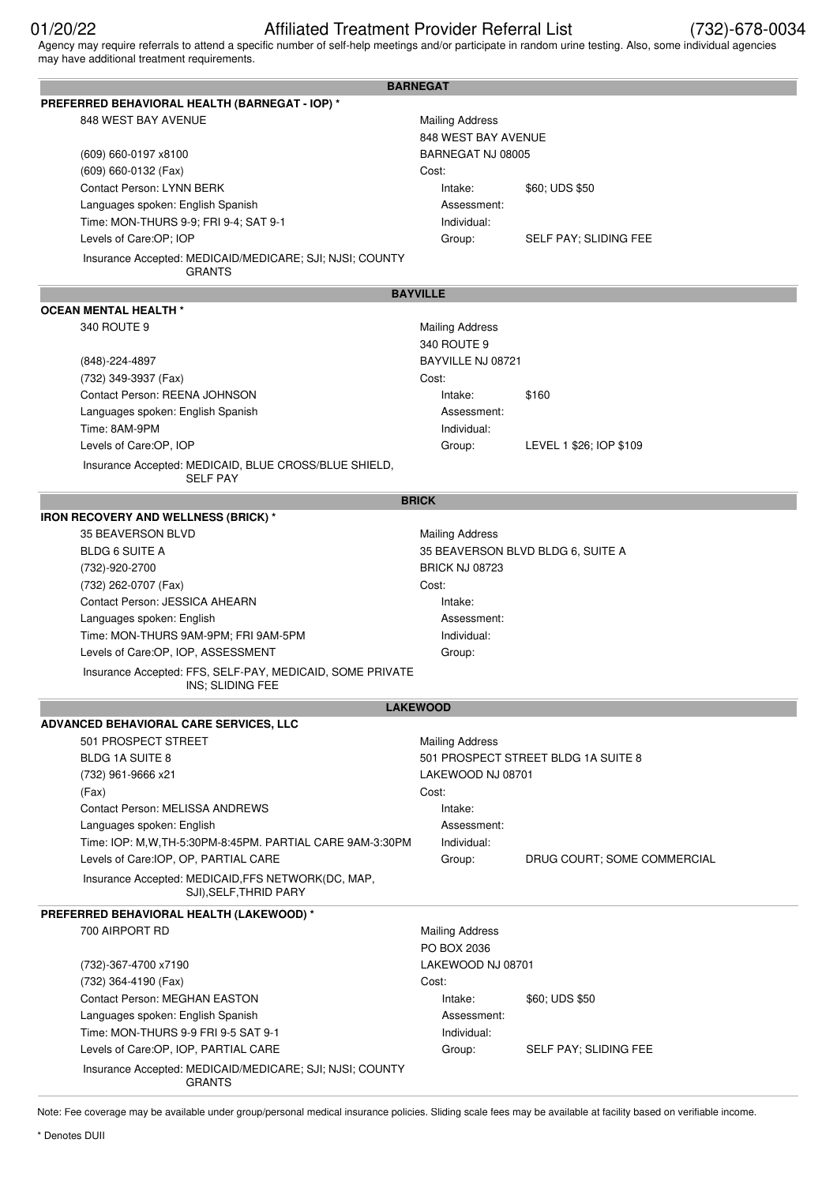| 01/20/22<br>Affiliated Treatment Provider Referral List                                                                                                                                                  |                                       | (732)-678-0034                      |
|----------------------------------------------------------------------------------------------------------------------------------------------------------------------------------------------------------|---------------------------------------|-------------------------------------|
| Agency may require referrals to attend a specific number of self-help meetings and/or participate in random urine testing. Also, some individual agencies<br>may have additional treatment requirements. |                                       |                                     |
|                                                                                                                                                                                                          | <b>BARNEGAT</b>                       |                                     |
| PREFERRED BEHAVIORAL HEALTH (BARNEGAT - IOP) *                                                                                                                                                           |                                       |                                     |
| 848 WEST BAY AVENUE                                                                                                                                                                                      | <b>Mailing Address</b>                |                                     |
|                                                                                                                                                                                                          | 848 WEST BAY AVENUE                   |                                     |
| (609) 660-0197 x8100                                                                                                                                                                                     | BARNEGAT NJ 08005                     |                                     |
| (609) 660-0132 (Fax)                                                                                                                                                                                     | Cost:                                 |                                     |
| <b>Contact Person: LYNN BERK</b>                                                                                                                                                                         | Intake:                               | \$60; UDS \$50                      |
| Languages spoken: English Spanish                                                                                                                                                                        | Assessment:                           |                                     |
| Time: MON-THURS 9-9; FRI 9-4; SAT 9-1<br>Levels of Care:OP; IOP                                                                                                                                          | Individual:                           |                                     |
|                                                                                                                                                                                                          | Group:                                | SELF PAY; SLIDING FEE               |
| Insurance Accepted: MEDICAID/MEDICARE; SJI; NJSI; COUNTY<br><b>GRANTS</b>                                                                                                                                |                                       |                                     |
|                                                                                                                                                                                                          | <b>BAYVILLE</b>                       |                                     |
| <b>OCEAN MENTAL HEALTH *</b>                                                                                                                                                                             |                                       |                                     |
| 340 ROUTE 9                                                                                                                                                                                              | <b>Mailing Address</b><br>340 ROUTE 9 |                                     |
| (848)-224-4897                                                                                                                                                                                           | BAYVILLE NJ 08721                     |                                     |
| (732) 349-3937 (Fax)                                                                                                                                                                                     | Cost:                                 |                                     |
| Contact Person: REENA JOHNSON                                                                                                                                                                            | Intake:                               | \$160                               |
| Languages spoken: English Spanish                                                                                                                                                                        | Assessment:                           |                                     |
| Time: 8AM-9PM                                                                                                                                                                                            | Individual:                           |                                     |
| Levels of Care:OP, IOP                                                                                                                                                                                   | Group:                                | LEVEL 1 \$26; IOP \$109             |
| Insurance Accepted: MEDICAID, BLUE CROSS/BLUE SHIELD,<br><b>SELF PAY</b>                                                                                                                                 |                                       |                                     |
|                                                                                                                                                                                                          | <b>BRICK</b>                          |                                     |
| IRON RECOVERY AND WELLNESS (BRICK) *                                                                                                                                                                     |                                       |                                     |
| <b>35 BEAVERSON BLVD</b>                                                                                                                                                                                 | <b>Mailing Address</b>                |                                     |
| <b>BLDG 6 SUITE A</b>                                                                                                                                                                                    |                                       | 35 BEAVERSON BLVD BLDG 6, SUITE A   |
| (732)-920-2700                                                                                                                                                                                           | <b>BRICK NJ 08723</b>                 |                                     |
| (732) 262-0707 (Fax)                                                                                                                                                                                     | Cost:                                 |                                     |
| Contact Person: JESSICA AHEARN                                                                                                                                                                           | Intake:                               |                                     |
| Languages spoken: English                                                                                                                                                                                | Assessment:                           |                                     |
| Time: MON-THURS 9AM-9PM; FRI 9AM-5PM                                                                                                                                                                     | Individual:                           |                                     |
| Levels of Care:OP, IOP, ASSESSMENT                                                                                                                                                                       | Group:                                |                                     |
| Insurance Accepted: FFS, SELF-PAY, MEDICAID, SOME PRIVATE<br>INS; SLIDING FEE                                                                                                                            |                                       |                                     |
|                                                                                                                                                                                                          | <b>LAKEWOOD</b>                       |                                     |
| ADVANCED BEHAVIORAL CARE SERVICES, LLC                                                                                                                                                                   |                                       |                                     |
| 501 PROSPECT STREET                                                                                                                                                                                      | <b>Mailing Address</b>                |                                     |
| <b>BLDG 1A SUITE 8</b>                                                                                                                                                                                   | LAKEWOOD NJ 08701                     | 501 PROSPECT STREET BLDG 1A SUITE 8 |
| (732) 961-9666 x21<br>(Fax)                                                                                                                                                                              | Cost:                                 |                                     |
| <b>Contact Person: MELISSA ANDREWS</b>                                                                                                                                                                   | Intake:                               |                                     |
| Languages spoken: English                                                                                                                                                                                | Assessment:                           |                                     |
| Time: IOP: M, W, TH-5:30PM-8:45PM. PARTIAL CARE 9AM-3:30PM                                                                                                                                               | Individual:                           |                                     |
| Levels of Care: IOP, OP, PARTIAL CARE                                                                                                                                                                    | Group:                                | DRUG COURT; SOME COMMERCIAL         |
| Insurance Accepted: MEDICAID, FFS NETWORK(DC, MAP,                                                                                                                                                       |                                       |                                     |
| SJI), SELF, THRID PARY                                                                                                                                                                                   |                                       |                                     |
| PREFERRED BEHAVIORAL HEALTH (LAKEWOOD) *<br>700 AIRPORT RD                                                                                                                                               | <b>Mailing Address</b>                |                                     |
|                                                                                                                                                                                                          | PO BOX 2036                           |                                     |
| (732)-367-4700 x7190                                                                                                                                                                                     | LAKEWOOD NJ 08701                     |                                     |
| (732) 364-4190 (Fax)                                                                                                                                                                                     | Cost:                                 |                                     |
| Contact Person: MEGHAN EASTON                                                                                                                                                                            | Intake:                               | \$60; UDS \$50                      |
| Languages spoken: English Spanish                                                                                                                                                                        | Assessment:                           |                                     |
| Time: MON-THURS 9-9 FRI 9-5 SAT 9-1                                                                                                                                                                      | Individual:                           |                                     |
|                                                                                                                                                                                                          |                                       | SELF PAY; SLIDING FEE               |

Note: Fee coverage may be available under group/personal medical insurance policies. Sliding scale fees may be available at facility based on verifiable income.

Insurance Accepted: MEDICAID/MEDICARE; SJI; NJSI; COUNTY

GRANTS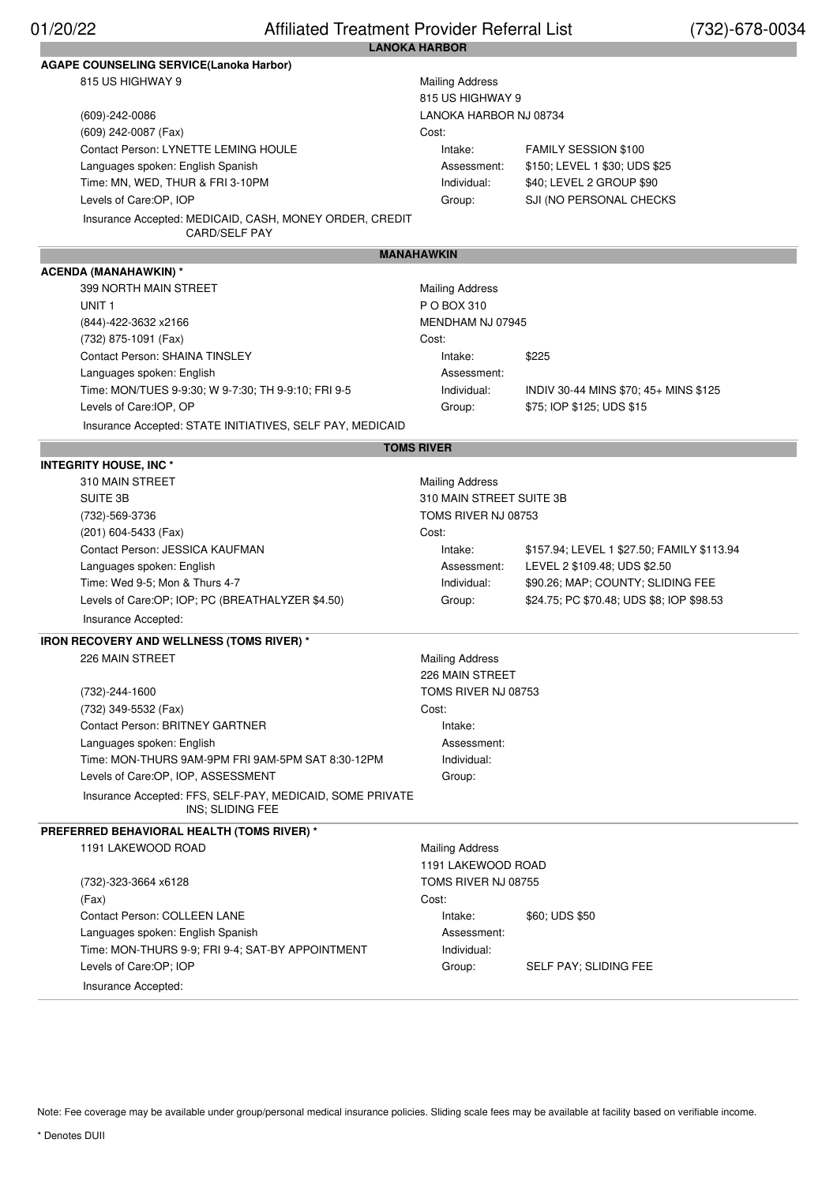#### **LANOKA HARBOR** 01/20/22 Affiliated Treatment Provider Referral List (732)-678-0034

**MANAHAWKIN**

#### **AGAPE COUNSELING SERVICE(Lanoka Harbor)** 815 US HIGHWAY 9 Mailing Address

(609)-242-0086 LANOKA HARBOR NJ 08734 (609) 242-0087 (Fax) Cost: Contact Person: LYNETTE LEMING HOULE Intake: FAMILY SESSION \$100 Languages spoken: English Spanish Assessment: \$150; LEVEL 1 \$30; UDS \$25 Time: MN, WED, THUR & FRI 3-10PM INDIVIDUAL: \$40; LEVEL 2 GROUP \$90 Levels of Care:OP, IOP **Group:** Group: SJI (NO PERSONAL CHECKS Insurance Accepted: MEDICAID, CASH, MONEY ORDER, CREDIT CARD/SELF PAY

# 815 US HIGHWAY 9

**ACENDA (MANAHAWKIN) \***

#### 399 NORTH MAIN STREET Mailing Address UNIT 1 P O BOX 310 (844)-422-3632 x2166 MENDHAM NJ 07945 (732) 875-1091 (Fax) Cost: Contact Person: SHAINA TINSLEY **Intake:** \$225

Levels of Care:IOP, OP Group: \$75; IOP \$125; UDS \$15 Insurance Accepted: STATE INITIATIVES, SELF PAY, MEDICAID

## Languages spoken: English Assessment: Time: MON/TUES 9-9:30; W 9-7:30; TH 9-9:10; FRI 9-5 Individual: INDIV 30-44 MINS \$70; 45+ MINS \$125

**TOMS RIVER**

|                                           | <b>INTEGRITY HOUSE, INC *</b>                                                 |                                                 |                                            |  |  |
|-------------------------------------------|-------------------------------------------------------------------------------|-------------------------------------------------|--------------------------------------------|--|--|
|                                           | 310 MAIN STREET                                                               | <b>Mailing Address</b>                          |                                            |  |  |
|                                           | SUITE 3B                                                                      | 310 MAIN STREET SUITE 3B<br>TOMS RIVER NJ 08753 |                                            |  |  |
|                                           | (732)-569-3736                                                                |                                                 |                                            |  |  |
|                                           | (201) 604-5433 (Fax)                                                          | Cost:                                           |                                            |  |  |
|                                           | Contact Person: JESSICA KAUFMAN                                               | Intake:                                         | \$157.94; LEVEL 1 \$27.50; FAMILY \$113.94 |  |  |
|                                           | Languages spoken: English                                                     | Assessment:                                     | LEVEL 2 \$109.48; UDS \$2.50               |  |  |
|                                           | Time: Wed 9-5; Mon & Thurs 4-7                                                | Individual:                                     | \$90.26; MAP; COUNTY; SLIDING FEE          |  |  |
|                                           | Levels of Care:OP; IOP; PC (BREATHALYZER \$4.50)                              | Group:                                          | \$24.75; PC \$70.48; UDS \$8; IOP \$98.53  |  |  |
|                                           | Insurance Accepted:                                                           |                                                 |                                            |  |  |
| IRON RECOVERY AND WELLNESS (TOMS RIVER) * |                                                                               |                                                 |                                            |  |  |
|                                           | 226 MAIN STREET                                                               | <b>Mailing Address</b><br>226 MAIN STREET       |                                            |  |  |
|                                           |                                                                               |                                                 |                                            |  |  |
|                                           | (732)-244-1600                                                                | TOMS RIVER NJ 08753                             |                                            |  |  |
|                                           | (732) 349-5532 (Fax)                                                          | Cost:                                           |                                            |  |  |
|                                           | <b>Contact Person: BRITNEY GARTNER</b>                                        | Intake:                                         |                                            |  |  |
|                                           | Languages spoken: English                                                     | Assessment:                                     |                                            |  |  |
|                                           | Time: MON-THURS 9AM-9PM FRI 9AM-5PM SAT 8:30-12PM                             | Individual:                                     |                                            |  |  |
|                                           | Levels of Care:OP, IOP, ASSESSMENT                                            | Group:                                          |                                            |  |  |
|                                           | Insurance Accepted: FFS, SELF-PAY, MEDICAID, SOME PRIVATE<br>INS: SLIDING FEE |                                                 |                                            |  |  |
|                                           | PREFERRED BEHAVIORAL HEALTH (TOMS RIVER) *                                    |                                                 |                                            |  |  |
|                                           | 1191 LAKEWOOD ROAD                                                            | <b>Mailing Address</b>                          |                                            |  |  |
|                                           |                                                                               | 1191 LAKEWOOD ROAD                              |                                            |  |  |
|                                           | (732)-323-3664 x6128                                                          | TOMS RIVER NJ 08755                             |                                            |  |  |
|                                           | (Fax)                                                                         | Cost:                                           |                                            |  |  |
|                                           | Contact Person: COLLEEN LANE                                                  | Intake:                                         | \$60; UDS \$50                             |  |  |
|                                           | Languages spoken: English Spanish                                             | Assessment:                                     |                                            |  |  |
|                                           | Time: MON-THURS 9-9; FRI 9-4; SAT-BY APPOINTMENT                              | Individual:                                     |                                            |  |  |
|                                           | Levels of Care:OP; IOP                                                        | Group:                                          | SELF PAY: SLIDING FEE                      |  |  |

Insurance Accepted:

Note: Fee coverage may be available under group/personal medical insurance policies. Sliding scale fees may be available at facility based on verifiable income.